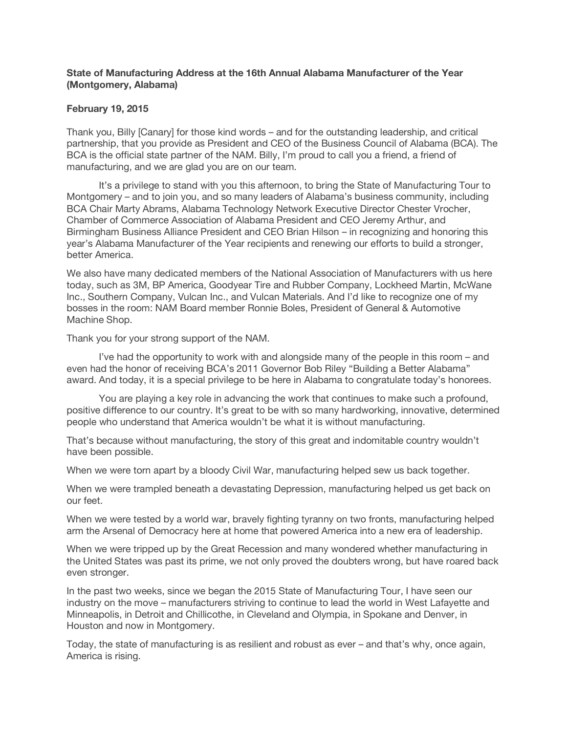## **State of Manufacturing Address at the 16th Annual Alabama Manufacturer of the Year (Montgomery, Alabama)**

## **February 19, 2015**

Thank you, Billy [Canary] for those kind words – and for the outstanding leadership, and critical partnership, that you provide as President and CEO of the Business Council of Alabama (BCA). The BCA is the official state partner of the NAM. Billy, I'm proud to call you a friend, a friend of manufacturing, and we are glad you are on our team.

 It's a privilege to stand with you this afternoon, to bring the State of Manufacturing Tour to Montgomery – and to join you, and so many leaders of Alabama's business community, including BCA Chair Marty Abrams, Alabama Technology Network Executive Director Chester Vrocher, Chamber of Commerce Association of Alabama President and CEO Jeremy Arthur, and Birmingham Business Alliance President and CEO Brian Hilson – in recognizing and honoring this year's Alabama Manufacturer of the Year recipients and renewing our efforts to build a stronger, better America.

We also have many dedicated members of the National Association of Manufacturers with us here today, such as 3M, BP America, Goodyear Tire and Rubber Company, Lockheed Martin, McWane Inc., Southern Company, Vulcan Inc., and Vulcan Materials. And I'd like to recognize one of my bosses in the room: NAM Board member Ronnie Boles, President of General & Automotive Machine Shop.

Thank you for your strong support of the NAM.

 I've had the opportunity to work with and alongside many of the people in this room – and even had the honor of receiving BCA's 2011 Governor Bob Riley "Building a Better Alabama" award. And today, it is a special privilege to be here in Alabama to congratulate today's honorees.

 You are playing a key role in advancing the work that continues to make such a profound, positive difference to our country. It's great to be with so many hardworking, innovative, determined people who understand that America wouldn't be what it is without manufacturing.

That's because without manufacturing, the story of this great and indomitable country wouldn't have been possible.

When we were torn apart by a bloody Civil War, manufacturing helped sew us back together.

When we were trampled beneath a devastating Depression, manufacturing helped us get back on our feet.

When we were tested by a world war, bravely fighting tyranny on two fronts, manufacturing helped arm the Arsenal of Democracy here at home that powered America into a new era of leadership.

When we were tripped up by the Great Recession and many wondered whether manufacturing in the United States was past its prime, we not only proved the doubters wrong, but have roared back even stronger.

In the past two weeks, since we began the 2015 State of Manufacturing Tour, I have seen our industry on the move – manufacturers striving to continue to lead the world in West Lafayette and Minneapolis, in Detroit and Chillicothe, in Cleveland and Olympia, in Spokane and Denver, in Houston and now in Montgomery.

Today, the state of manufacturing is as resilient and robust as ever – and that's why, once again, America is rising.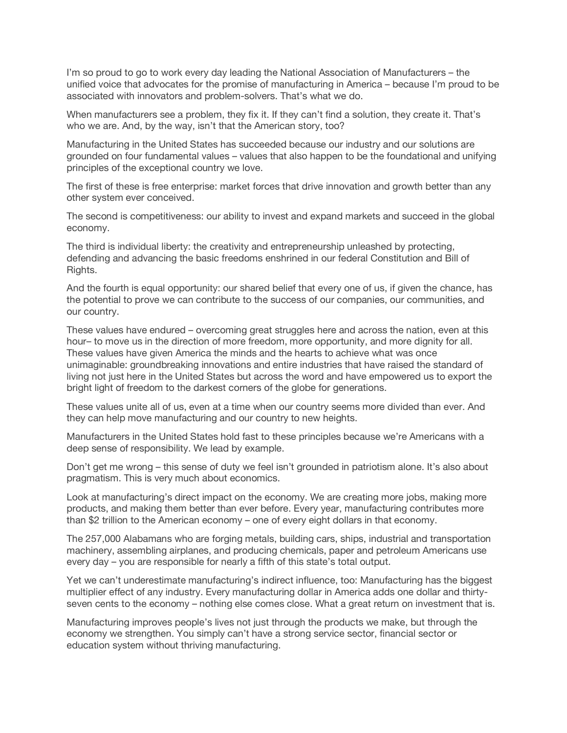I'm so proud to go to work every day leading the National Association of Manufacturers – the unified voice that advocates for the promise of manufacturing in America – because I'm proud to be associated with innovators and problem-solvers. That's what we do.

When manufacturers see a problem, they fix it. If they can't find a solution, they create it. That's who we are. And, by the way, isn't that the American story, too?

Manufacturing in the United States has succeeded because our industry and our solutions are grounded on four fundamental values – values that also happen to be the foundational and unifying principles of the exceptional country we love.

The first of these is free enterprise: market forces that drive innovation and growth better than any other system ever conceived.

The second is competitiveness: our ability to invest and expand markets and succeed in the global economy.

The third is individual liberty: the creativity and entrepreneurship unleashed by protecting, defending and advancing the basic freedoms enshrined in our federal Constitution and Bill of Rights.

And the fourth is equal opportunity: our shared belief that every one of us, if given the chance, has the potential to prove we can contribute to the success of our companies, our communities, and our country.

These values have endured – overcoming great struggles here and across the nation, even at this hour– to move us in the direction of more freedom, more opportunity, and more dignity for all. These values have given America the minds and the hearts to achieve what was once unimaginable: groundbreaking innovations and entire industries that have raised the standard of living not just here in the United States but across the word and have empowered us to export the bright light of freedom to the darkest corners of the globe for generations.

These values unite all of us, even at a time when our country seems more divided than ever. And they can help move manufacturing and our country to new heights.

Manufacturers in the United States hold fast to these principles because we're Americans with a deep sense of responsibility. We lead by example.

Don't get me wrong – this sense of duty we feel isn't grounded in patriotism alone. It's also about pragmatism. This is very much about economics.

Look at manufacturing's direct impact on the economy. We are creating more jobs, making more products, and making them better than ever before. Every year, manufacturing contributes more than \$2 trillion to the American economy – one of every eight dollars in that economy.

The 257,000 Alabamans who are forging metals, building cars, ships, industrial and transportation machinery, assembling airplanes, and producing chemicals, paper and petroleum Americans use every day – you are responsible for nearly a fifth of this state's total output.

Yet we can't underestimate manufacturing's indirect influence, too: Manufacturing has the biggest multiplier effect of any industry. Every manufacturing dollar in America adds one dollar and thirtyseven cents to the economy – nothing else comes close. What a great return on investment that is.

Manufacturing improves people's lives not just through the products we make, but through the economy we strengthen. You simply can't have a strong service sector, financial sector or education system without thriving manufacturing.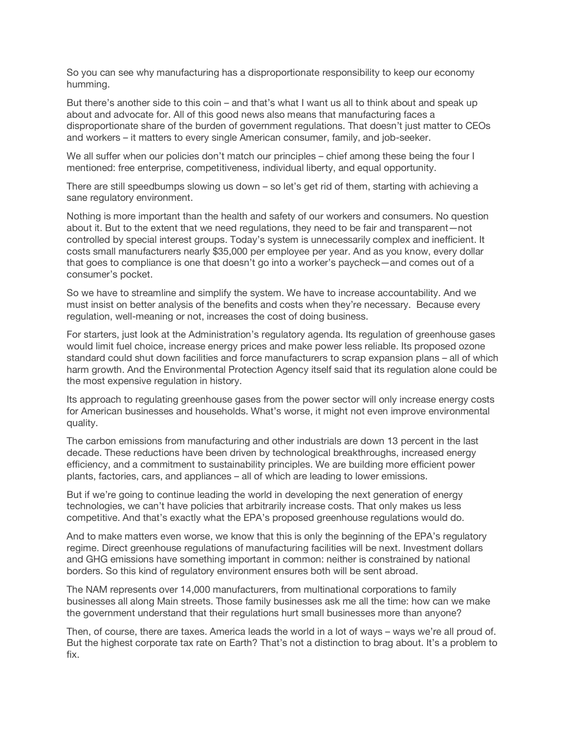So you can see why manufacturing has a disproportionate responsibility to keep our economy humming.

But there's another side to this coin – and that's what I want us all to think about and speak up about and advocate for. All of this good news also means that manufacturing faces a disproportionate share of the burden of government regulations. That doesn't just matter to CEOs and workers – it matters to every single American consumer, family, and job-seeker.

We all suffer when our policies don't match our principles – chief among these being the four I mentioned: free enterprise, competitiveness, individual liberty, and equal opportunity.

There are still speedbumps slowing us down – so let's get rid of them, starting with achieving a sane regulatory environment.

Nothing is more important than the health and safety of our workers and consumers. No question about it. But to the extent that we need regulations, they need to be fair and transparent—not controlled by special interest groups. Today's system is unnecessarily complex and inefficient. It costs small manufacturers nearly \$35,000 per employee per year. And as you know, every dollar that goes to compliance is one that doesn't go into a worker's paycheck—and comes out of a consumer's pocket.

So we have to streamline and simplify the system. We have to increase accountability. And we must insist on better analysis of the benefits and costs when they're necessary. Because every regulation, well-meaning or not, increases the cost of doing business.

For starters, just look at the Administration's regulatory agenda. Its regulation of greenhouse gases would limit fuel choice, increase energy prices and make power less reliable. Its proposed ozone standard could shut down facilities and force manufacturers to scrap expansion plans – all of which harm growth. And the Environmental Protection Agency itself said that its regulation alone could be the most expensive regulation in history.

Its approach to regulating greenhouse gases from the power sector will only increase energy costs for American businesses and households. What's worse, it might not even improve environmental quality.

The carbon emissions from manufacturing and other industrials are down 13 percent in the last decade. These reductions have been driven by technological breakthroughs, increased energy efficiency, and a commitment to sustainability principles. We are building more efficient power plants, factories, cars, and appliances – all of which are leading to lower emissions.

But if we're going to continue leading the world in developing the next generation of energy technologies, we can't have policies that arbitrarily increase costs. That only makes us less competitive. And that's exactly what the EPA's proposed greenhouse regulations would do.

And to make matters even worse, we know that this is only the beginning of the EPA's regulatory regime. Direct greenhouse regulations of manufacturing facilities will be next. Investment dollars and GHG emissions have something important in common: neither is constrained by national borders. So this kind of regulatory environment ensures both will be sent abroad.

The NAM represents over 14,000 manufacturers, from multinational corporations to family businesses all along Main streets. Those family businesses ask me all the time: how can we make the government understand that their regulations hurt small businesses more than anyone?

Then, of course, there are taxes. America leads the world in a lot of ways – ways we're all proud of. But the highest corporate tax rate on Earth? That's not a distinction to brag about. It's a problem to fix.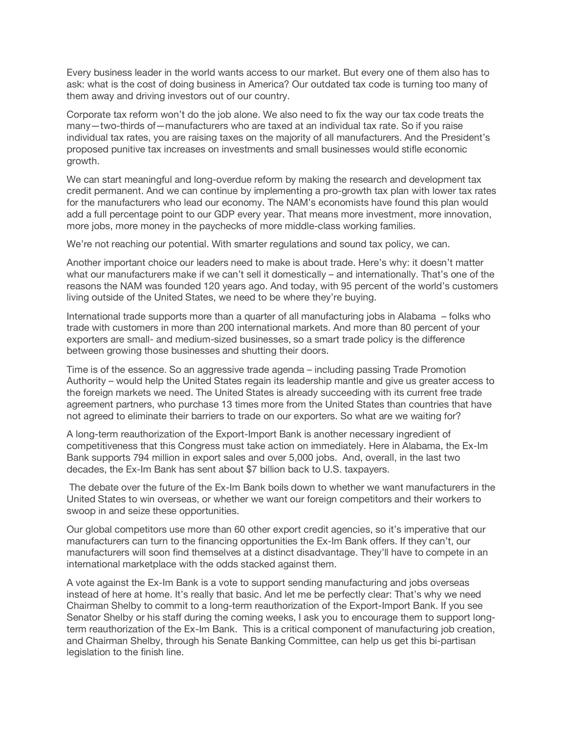Every business leader in the world wants access to our market. But every one of them also has to ask: what is the cost of doing business in America? Our outdated tax code is turning too many of them away and driving investors out of our country.

Corporate tax reform won't do the job alone. We also need to fix the way our tax code treats the many—two-thirds of—manufacturers who are taxed at an individual tax rate. So if you raise individual tax rates, you are raising taxes on the majority of all manufacturers. And the President's proposed punitive tax increases on investments and small businesses would stifle economic growth.

We can start meaningful and long-overdue reform by making the research and development tax credit permanent. And we can continue by implementing a pro-growth tax plan with lower tax rates for the manufacturers who lead our economy. The NAM's economists have found this plan would add a full percentage point to our GDP every year. That means more investment, more innovation, more jobs, more money in the paychecks of more middle-class working families.

We're not reaching our potential. With smarter regulations and sound tax policy, we can.

Another important choice our leaders need to make is about trade. Here's why: it doesn't matter what our manufacturers make if we can't sell it domestically – and internationally. That's one of the reasons the NAM was founded 120 years ago. And today, with 95 percent of the world's customers living outside of the United States, we need to be where they're buying.

International trade supports more than a quarter of all manufacturing jobs in Alabama – folks who trade with customers in more than 200 international markets. And more than 80 percent of your exporters are small- and medium-sized businesses, so a smart trade policy is the difference between growing those businesses and shutting their doors.

Time is of the essence. So an aggressive trade agenda – including passing Trade Promotion Authority – would help the United States regain its leadership mantle and give us greater access to the foreign markets we need. The United States is already succeeding with its current free trade agreement partners, who purchase 13 times more from the United States than countries that have not agreed to eliminate their barriers to trade on our exporters. So what are we waiting for?

A long-term reauthorization of the Export-Import Bank is another necessary ingredient of competitiveness that this Congress must take action on immediately. Here in Alabama, the Ex-Im Bank supports 794 million in export sales and over 5,000 jobs. And, overall, in the last two decades, the Ex-Im Bank has sent about \$7 billion back to U.S. taxpayers.

 The debate over the future of the Ex-Im Bank boils down to whether we want manufacturers in the United States to win overseas, or whether we want our foreign competitors and their workers to swoop in and seize these opportunities.

Our global competitors use more than 60 other export credit agencies, so it's imperative that our manufacturers can turn to the financing opportunities the Ex-Im Bank offers. If they can't, our manufacturers will soon find themselves at a distinct disadvantage. They'll have to compete in an international marketplace with the odds stacked against them.

A vote against the Ex-Im Bank is a vote to support sending manufacturing and jobs overseas instead of here at home. It's really that basic. And let me be perfectly clear: That's why we need Chairman Shelby to commit to a long-term reauthorization of the Export-Import Bank. If you see Senator Shelby or his staff during the coming weeks, I ask you to encourage them to support longterm reauthorization of the Ex-Im Bank. This is a critical component of manufacturing job creation, and Chairman Shelby, through his Senate Banking Committee, can help us get this bi-partisan legislation to the finish line.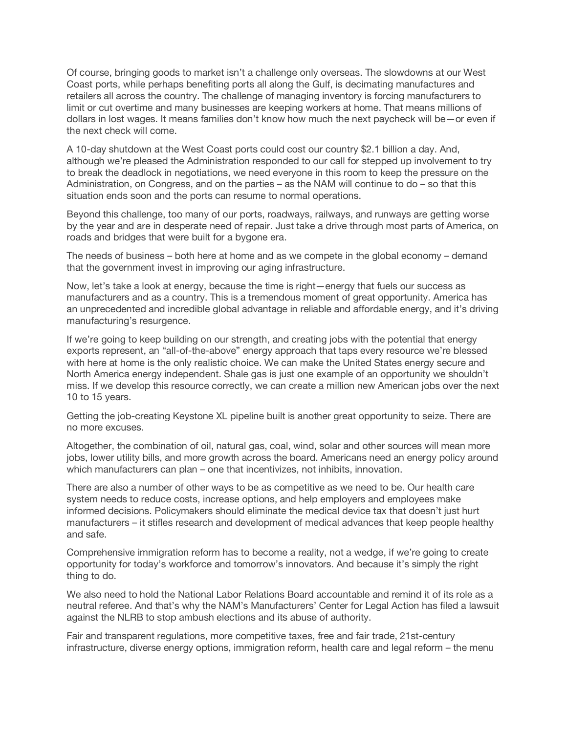Of course, bringing goods to market isn't a challenge only overseas. The slowdowns at our West Coast ports, while perhaps benefiting ports all along the Gulf, is decimating manufactures and retailers all across the country. The challenge of managing inventory is forcing manufacturers to limit or cut overtime and many businesses are keeping workers at home. That means millions of dollars in lost wages. It means families don't know how much the next paycheck will be—or even if the next check will come.

A 10-day shutdown at the West Coast ports could cost our country \$2.1 billion a day. And, although we're pleased the Administration responded to our call for stepped up involvement to try to break the deadlock in negotiations, we need everyone in this room to keep the pressure on the Administration, on Congress, and on the parties – as the NAM will continue to do – so that this situation ends soon and the ports can resume to normal operations.

Beyond this challenge, too many of our ports, roadways, railways, and runways are getting worse by the year and are in desperate need of repair. Just take a drive through most parts of America, on roads and bridges that were built for a bygone era.

The needs of business – both here at home and as we compete in the global economy – demand that the government invest in improving our aging infrastructure.

Now, let's take a look at energy, because the time is right—energy that fuels our success as manufacturers and as a country. This is a tremendous moment of great opportunity. America has an unprecedented and incredible global advantage in reliable and affordable energy, and it's driving manufacturing's resurgence.

If we're going to keep building on our strength, and creating jobs with the potential that energy exports represent, an "all-of-the-above" energy approach that taps every resource we're blessed with here at home is the only realistic choice. We can make the United States energy secure and North America energy independent. Shale gas is just one example of an opportunity we shouldn't miss. If we develop this resource correctly, we can create a million new American jobs over the next 10 to 15 years.

Getting the job-creating Keystone XL pipeline built is another great opportunity to seize. There are no more excuses.

Altogether, the combination of oil, natural gas, coal, wind, solar and other sources will mean more jobs, lower utility bills, and more growth across the board. Americans need an energy policy around which manufacturers can plan – one that incentivizes, not inhibits, innovation.

There are also a number of other ways to be as competitive as we need to be. Our health care system needs to reduce costs, increase options, and help employers and employees make informed decisions. Policymakers should eliminate the medical device tax that doesn't just hurt manufacturers – it stifles research and development of medical advances that keep people healthy and safe.

Comprehensive immigration reform has to become a reality, not a wedge, if we're going to create opportunity for today's workforce and tomorrow's innovators. And because it's simply the right thing to do.

We also need to hold the National Labor Relations Board accountable and remind it of its role as a neutral referee. And that's why the NAM's Manufacturers' Center for Legal Action has filed a lawsuit against the NLRB to stop ambush elections and its abuse of authority.

Fair and transparent regulations, more competitive taxes, free and fair trade, 21st-century infrastructure, diverse energy options, immigration reform, health care and legal reform – the menu